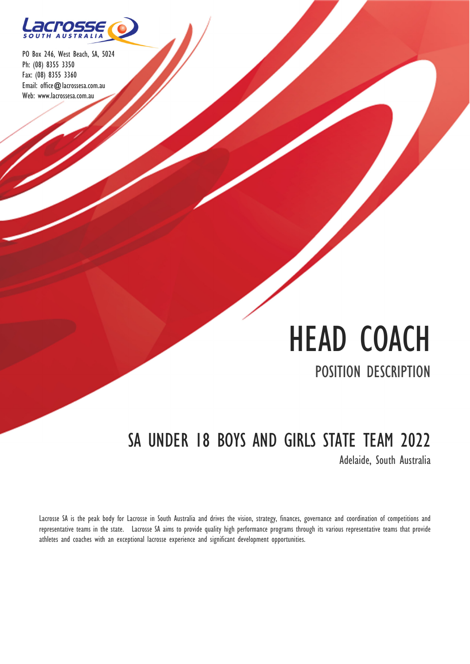

# HEAD COACH POSITION DESCRIPTION

# SA UNDER 18 BOYS AND GIRLS STATE TEAM 2022

Adelaide, South Australia

Lacrosse SA is the peak body for Lacrosse in South Australia and drives the vision, strategy, finances, governance and coordination of competitions and representative teams in the state. Lacrosse SA aims to provide quality high performance programs through its various representative teams that provide athletes and coaches with an exceptional lacrosse experience and significant development opportunities.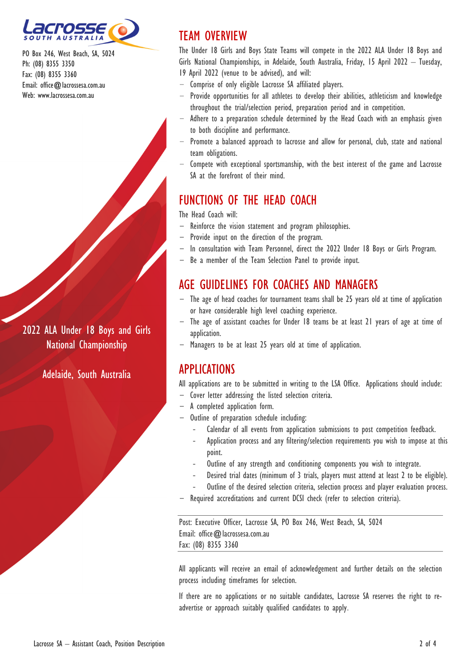

2022 ALA Under 18 Boys and Girls National Championship

Adelaide, South Australia

## TEAM OVERVIEW

The Under 18 Girls and Boys State Teams will compete in the 2022 ALA Under 18 Boys and Girls National Championships, in Adelaide, South Australia, Friday, 15 April 2022 – Tuesday, 19 April 2022 (venue to be advised), and will:

- Comprise of only eligible Lacrosse SA affiliated players.
- Provide opportunities for all athletes to develop their abilities, athleticism and knowledge throughout the trial/selection period, preparation period and in competition.
- Adhere to a preparation schedule determined by the Head Coach with an emphasis given to both discipline and performance.
- Promote a balanced approach to lacrosse and allow for personal, club, state and national team obligations.
- Compete with exceptional sportsmanship, with the best interest of the game and Lacrosse SA at the forefront of their mind.

# FUNCTIONS OF THE HEAD COACH

The Head Coach will:

- Reinforce the vision statement and program philosophies.
- Provide input on the direction of the program.
- In consultation with Team Personnel, direct the 2022 Under 18 Boys or Girls Program.
- Be a member of the Team Selection Panel to provide input.

### AGE GUIDELINES FOR COACHES AND MANAGERS

- The age of head coaches for tournament teams shall be 25 years old at time of application or have considerable high level coaching experience.
- The age of assistant coaches for Under 18 teams be at least 21 years of age at time of application.
- Managers to be at least 25 years old at time of application.

### APPLICATIONS

All applications are to be submitted in writing to the LSA Office. Applications should include:

- Cover letter addressing the listed selection criteria.
- A completed application form.
- Outline of preparation schedule including:
	- ‐ Calendar of all events from application submissions to post competition feedback.
	- ‐ Application process and any filtering/selection requirements you wish to impose at this point.
	- Outline of any strength and conditioning components you wish to integrate.
	- ‐ Desired trial dates (minimum of 3 trials, players must attend at least 2 to be eligible).
	- Outline of the desired selection criteria, selection process and player evaluation process.
- Required accreditations and current DCSI check (refer to selection criteria).

Post: Executive Officer, Lacrosse SA, PO Box 246, West Beach, SA, 5024 Email: office@lacrossesa.com.au Fax: (08) 8355 3360

All applicants will receive an email of acknowledgement and further details on the selection process including timeframes for selection.

If there are no applications or no suitable candidates, Lacrosse SA reserves the right to readvertise or approach suitably qualified candidates to apply.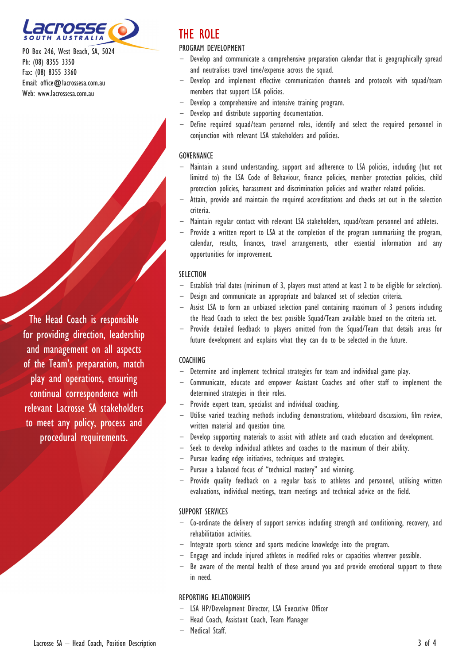

The Head Coach is responsible for providing direction, leadership and management on all aspects of the Team's preparation, match play and operations, ensuring continual correspondence with relevant Lacrosse SA stakeholders to meet any policy, process and procedural requirements.

# THE ROLE

#### PROGRAM DEVELOPMENT

- Develop and communicate a comprehensive preparation calendar that is geographically spread and neutralises travel time/expense across the squad.
- Develop and implement effective communication channels and protocols with squad/team members that support LSA policies.
- Develop a comprehensive and intensive training program.
- Develop and distribute supporting documentation.
- Define required squad/team personnel roles, identify and select the required personnel in conjunction with relevant LSA stakeholders and policies.

#### **GOVERNANCE**

- Maintain a sound understanding, support and adherence to LSA policies, including (but not limited to) the LSA Code of Behaviour, finance policies, member protection policies, child protection policies, harassment and discrimination policies and weather related policies.
- Attain, provide and maintain the required accreditations and checks set out in the selection criteria.
- Maintain regular contact with relevant LSA stakeholders, squad/team personnel and athletes.
- Provide a written report to LSA at the completion of the program summarising the program, calendar, results, finances, travel arrangements, other essential information and any opportunities for improvement.

#### **SELECTION**

- Establish trial dates (minimum of 3, players must attend at least 2 to be eligible for selection).
- Design and communicate an appropriate and balanced set of selection criteria.
- Assist LSA to form an unbiased selection panel containing maximum of 3 persons including the Head Coach to select the best possible Squad/Team available based on the criteria set.
- Provide detailed feedback to players omitted from the Squad/Team that details areas for future development and explains what they can do to be selected in the future.

#### **COACHING**

- Determine and implement technical strategies for team and individual game play.
- Communicate, educate and empower Assistant Coaches and other staff to implement the determined strategies in their roles.
- Provide expert team, specialist and individual coaching.
- Utilise varied teaching methods including demonstrations, whiteboard discussions, film review, written material and question time.
- Develop supporting materials to assist with athlete and coach education and development.
- Seek to develop individual athletes and coaches to the maximum of their ability.
- Pursue leading edge initiatives, techniques and strategies.
- Pursue a balanced focus of "technical mastery" and winning.
- Provide quality feedback on a regular basis to athletes and personnel, utilising written evaluations, individual meetings, team meetings and technical advice on the field.

#### SUPPORT SERVICES

- Co-ordinate the delivery of support services including strength and conditioning, recovery, and rehabilitation activities.
- Integrate sports science and sports medicine knowledge into the program.
- Engage and include injured athletes in modified roles or capacities wherever possible.
- Be aware of the mental health of those around you and provide emotional support to those in need.

#### REPORTING RELATIONSHIPS

- LSA HP/Development Director, LSA Executive Officer
- Head Coach, Assistant Coach, Team Manager
- Medical Staff.